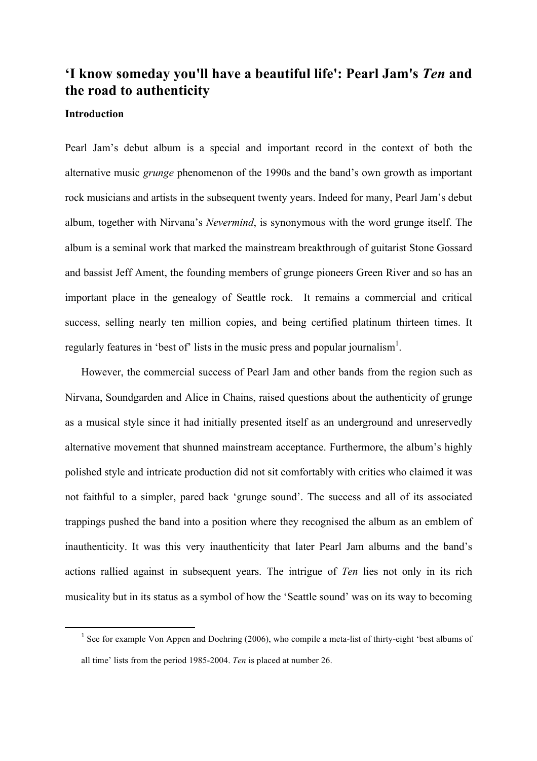# **'I know someday you'll have a beautiful life': Pearl Jam's** *Ten* **and the road to authenticity**

# **Introduction**

 

Pearl Jam's debut album is a special and important record in the context of both the alternative music *grunge* phenomenon of the 1990s and the band's own growth as important rock musicians and artists in the subsequent twenty years. Indeed for many, Pearl Jam's debut album, together with Nirvana's *Nevermind*, is synonymous with the word grunge itself. The album is a seminal work that marked the mainstream breakthrough of guitarist Stone Gossard and bassist Jeff Ament, the founding members of grunge pioneers Green River and so has an important place in the genealogy of Seattle rock. It remains a commercial and critical success, selling nearly ten million copies, and being certified platinum thirteen times. It regularly features in 'best of' lists in the music press and popular journalism<sup>1</sup>.

However, the commercial success of Pearl Jam and other bands from the region such as Nirvana, Soundgarden and Alice in Chains, raised questions about the authenticity of grunge as a musical style since it had initially presented itself as an underground and unreservedly alternative movement that shunned mainstream acceptance. Furthermore, the album's highly polished style and intricate production did not sit comfortably with critics who claimed it was not faithful to a simpler, pared back 'grunge sound'. The success and all of its associated trappings pushed the band into a position where they recognised the album as an emblem of inauthenticity. It was this very inauthenticity that later Pearl Jam albums and the band's actions rallied against in subsequent years. The intrigue of *Ten* lies not only in its rich musicality but in its status as a symbol of how the 'Seattle sound' was on its way to becoming

<sup>&</sup>lt;sup>1</sup> See for example Von Appen and Doehring (2006), who compile a meta-list of thirty-eight 'best albums of all time' lists from the period 1985-2004. *Ten* is placed at number 26.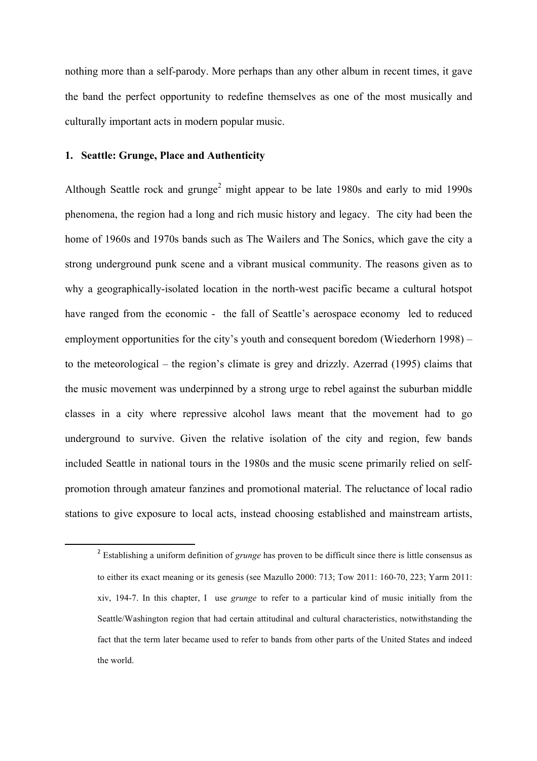nothing more than a self-parody. More perhaps than any other album in recent times, it gave the band the perfect opportunity to redefine themselves as one of the most musically and culturally important acts in modern popular music.

# **1. Seattle: Grunge, Place and Authenticity**

 

Although Seattle rock and grunge<sup>2</sup> might appear to be late  $1980s$  and early to mid  $1990s$ phenomena, the region had a long and rich music history and legacy. The city had been the home of 1960s and 1970s bands such as The Wailers and The Sonics, which gave the city a strong underground punk scene and a vibrant musical community. The reasons given as to why a geographically-isolated location in the north-west pacific became a cultural hotspot have ranged from the economic - the fall of Seattle's aerospace economy led to reduced employment opportunities for the city's youth and consequent boredom (Wiederhorn 1998) – to the meteorological – the region's climate is grey and drizzly. Azerrad (1995) claims that the music movement was underpinned by a strong urge to rebel against the suburban middle classes in a city where repressive alcohol laws meant that the movement had to go underground to survive. Given the relative isolation of the city and region, few bands included Seattle in national tours in the 1980s and the music scene primarily relied on selfpromotion through amateur fanzines and promotional material. The reluctance of local radio stations to give exposure to local acts, instead choosing established and mainstream artists,

<sup>2</sup> Establishing a uniform definition of *grunge* has proven to be difficult since there is little consensus as to either its exact meaning or its genesis (see Mazullo 2000: 713; Tow 2011: 160-70, 223; Yarm 2011: xiv, 194-7. In this chapter, I use *grunge* to refer to a particular kind of music initially from the Seattle/Washington region that had certain attitudinal and cultural characteristics, notwithstanding the fact that the term later became used to refer to bands from other parts of the United States and indeed the world.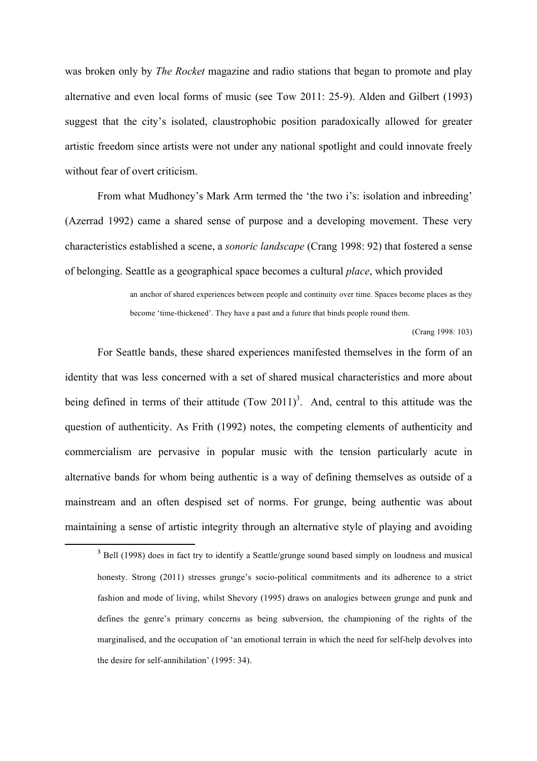was broken only by *The Rocket* magazine and radio stations that began to promote and play alternative and even local forms of music (see Tow 2011: 25-9). Alden and Gilbert (1993) suggest that the city's isolated, claustrophobic position paradoxically allowed for greater artistic freedom since artists were not under any national spotlight and could innovate freely without fear of overt criticism.

From what Mudhoney's Mark Arm termed the 'the two i's: isolation and inbreeding' (Azerrad 1992) came a shared sense of purpose and a developing movement. These very characteristics established a scene, a *sonoric landscape* (Crang 1998: 92) that fostered a sense of belonging. Seattle as a geographical space becomes a cultural *place*, which provided

> an anchor of shared experiences between people and continuity over time. Spaces become places as they become 'time-thickened'. They have a past and a future that binds people round them.

> > (Crang 1998: 103)

For Seattle bands, these shared experiences manifested themselves in the form of an identity that was less concerned with a set of shared musical characteristics and more about being defined in terms of their attitude  $(Tow 2011)^3$ . And, central to this attitude was the question of authenticity. As Frith (1992) notes, the competing elements of authenticity and commercialism are pervasive in popular music with the tension particularly acute in alternative bands for whom being authentic is a way of defining themselves as outside of a mainstream and an often despised set of norms. For grunge, being authentic was about maintaining a sense of artistic integrity through an alternative style of playing and avoiding

 

<sup>&</sup>lt;sup>3</sup> Bell (1998) does in fact try to identify a Seattle/grunge sound based simply on loudness and musical honesty. Strong (2011) stresses grunge's socio-political commitments and its adherence to a strict fashion and mode of living, whilst Shevory (1995) draws on analogies between grunge and punk and defines the genre's primary concerns as being subversion, the championing of the rights of the marginalised, and the occupation of 'an emotional terrain in which the need for self-help devolves into the desire for self-annihilation' (1995: 34).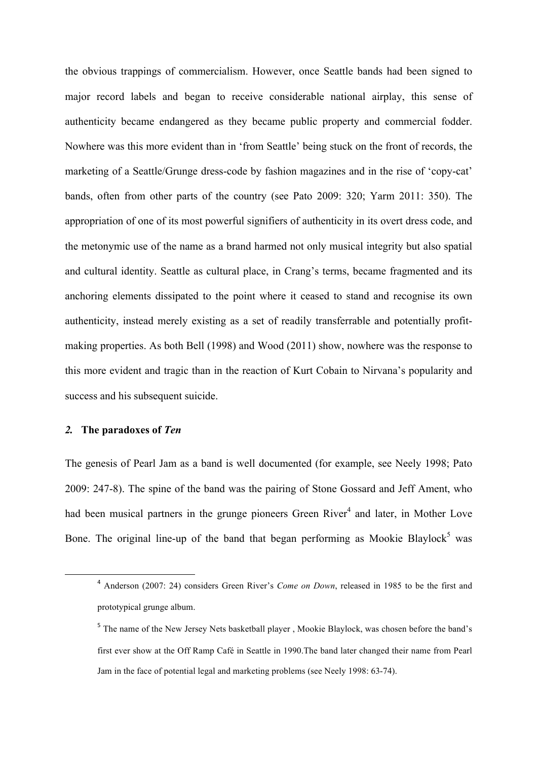the obvious trappings of commercialism. However, once Seattle bands had been signed to major record labels and began to receive considerable national airplay, this sense of authenticity became endangered as they became public property and commercial fodder. Nowhere was this more evident than in 'from Seattle' being stuck on the front of records, the marketing of a Seattle/Grunge dress-code by fashion magazines and in the rise of 'copy-cat' bands, often from other parts of the country (see Pato 2009: 320; Yarm 2011: 350). The appropriation of one of its most powerful signifiers of authenticity in its overt dress code, and the metonymic use of the name as a brand harmed not only musical integrity but also spatial and cultural identity. Seattle as cultural place, in Crang's terms, became fragmented and its anchoring elements dissipated to the point where it ceased to stand and recognise its own authenticity, instead merely existing as a set of readily transferrable and potentially profitmaking properties. As both Bell (1998) and Wood (2011) show, nowhere was the response to this more evident and tragic than in the reaction of Kurt Cobain to Nirvana's popularity and success and his subsequent suicide.

# *2.* **The paradoxes of** *Ten*

 

The genesis of Pearl Jam as a band is well documented (for example, see Neely 1998; Pato 2009: 247-8). The spine of the band was the pairing of Stone Gossard and Jeff Ament, who had been musical partners in the grunge pioneers Green River<sup>4</sup> and later, in Mother Love Bone. The original line-up of the band that began performing as Mookie Blaylock<sup>5</sup> was

<sup>4</sup> Anderson (2007: 24) considers Green River's *Come on Down*, released in 1985 to be the first and prototypical grunge album.

<sup>&</sup>lt;sup>5</sup> The name of the New Jersey Nets basketball player, Mookie Blaylock, was chosen before the band's first ever show at the Off Ramp Café in Seattle in 1990.The band later changed their name from Pearl Jam in the face of potential legal and marketing problems (see Neely 1998: 63-74).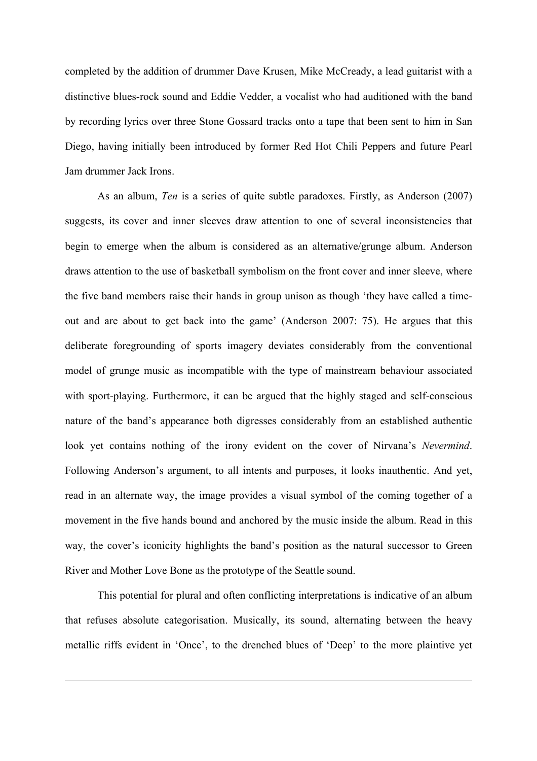completed by the addition of drummer Dave Krusen, Mike McCready, a lead guitarist with a distinctive blues-rock sound and Eddie Vedder, a vocalist who had auditioned with the band by recording lyrics over three Stone Gossard tracks onto a tape that been sent to him in San Diego, having initially been introduced by former Red Hot Chili Peppers and future Pearl Jam drummer Jack Irons.

As an album, *Ten* is a series of quite subtle paradoxes. Firstly, as Anderson (2007) suggests, its cover and inner sleeves draw attention to one of several inconsistencies that begin to emerge when the album is considered as an alternative/grunge album. Anderson draws attention to the use of basketball symbolism on the front cover and inner sleeve, where the five band members raise their hands in group unison as though 'they have called a timeout and are about to get back into the game' (Anderson 2007: 75). He argues that this deliberate foregrounding of sports imagery deviates considerably from the conventional model of grunge music as incompatible with the type of mainstream behaviour associated with sport-playing. Furthermore, it can be argued that the highly staged and self-conscious nature of the band's appearance both digresses considerably from an established authentic look yet contains nothing of the irony evident on the cover of Nirvana's *Nevermind*. Following Anderson's argument, to all intents and purposes, it looks inauthentic. And yet, read in an alternate way, the image provides a visual symbol of the coming together of a movement in the five hands bound and anchored by the music inside the album. Read in this way, the cover's iconicity highlights the band's position as the natural successor to Green River and Mother Love Bone as the prototype of the Seattle sound.

This potential for plural and often conflicting interpretations is indicative of an album that refuses absolute categorisation. Musically, its sound, alternating between the heavy metallic riffs evident in 'Once', to the drenched blues of 'Deep' to the more plaintive yet

<u> 1989 - Andrea Santa Andrea Andrea Andrea Andrea Andrea Andrea Andrea Andrea Andrea Andrea Andrea Andrea Andr</u>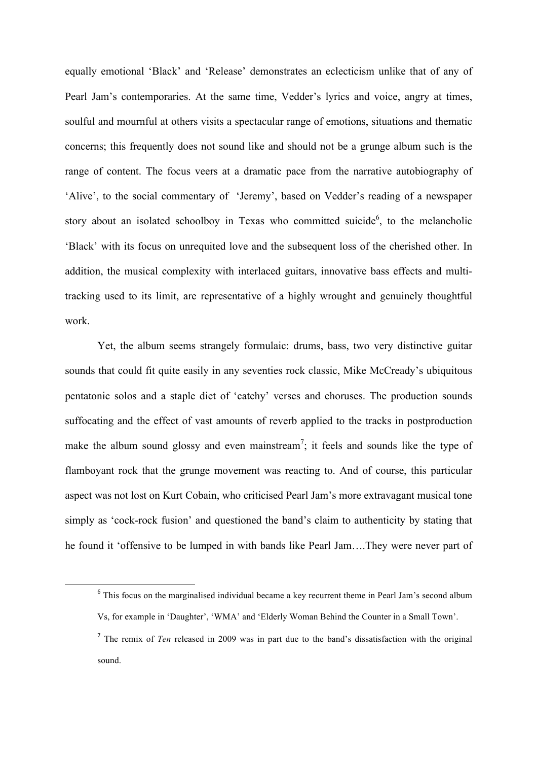equally emotional 'Black' and 'Release' demonstrates an eclecticism unlike that of any of Pearl Jam's contemporaries. At the same time, Vedder's lyrics and voice, angry at times, soulful and mournful at others visits a spectacular range of emotions, situations and thematic concerns; this frequently does not sound like and should not be a grunge album such is the range of content. The focus veers at a dramatic pace from the narrative autobiography of 'Alive', to the social commentary of 'Jeremy', based on Vedder's reading of a newspaper story about an isolated schoolboy in Texas who committed suicide $6$ , to the melancholic 'Black' with its focus on unrequited love and the subsequent loss of the cherished other. In addition, the musical complexity with interlaced guitars, innovative bass effects and multitracking used to its limit, are representative of a highly wrought and genuinely thoughtful work.

Yet, the album seems strangely formulaic: drums, bass, two very distinctive guitar sounds that could fit quite easily in any seventies rock classic, Mike McCready's ubiquitous pentatonic solos and a staple diet of 'catchy' verses and choruses. The production sounds suffocating and the effect of vast amounts of reverb applied to the tracks in postproduction make the album sound glossy and even mainstream<sup>7</sup>; it feels and sounds like the type of flamboyant rock that the grunge movement was reacting to. And of course, this particular aspect was not lost on Kurt Cobain, who criticised Pearl Jam's more extravagant musical tone simply as 'cock-rock fusion' and questioned the band's claim to authenticity by stating that he found it 'offensive to be lumped in with bands like Pearl Jam….They were never part of

<u> 1989 - Jan Samuel Barbara, margaret e</u>

<sup>&</sup>lt;sup>6</sup> This focus on the marginalised individual became a key recurrent theme in Pearl Jam's second album Vs, for example in 'Daughter', 'WMA' and 'Elderly Woman Behind the Counter in a Small Town'.

<sup>7</sup> The remix of *Ten* released in 2009 was in part due to the band's dissatisfaction with the original sound.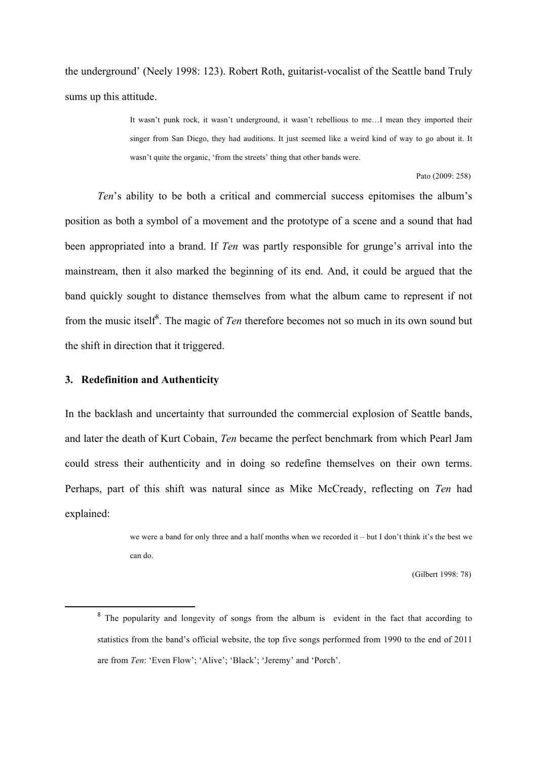the underground' (Neely 1998: 123). Robert Roth, guitarist-vocalist of the Seattle band Truly sums up this attitude.

> It wasn't punk rock, it wasn't underground, it wasn't rebellious to me…I mean they imported their singer from San Diego, they had auditions. It just seemed like a weird kind of way to go about it. It wasn't quite the organic, 'from the streets' thing that other bands were.

#### Pato (2009: 258)

*Ten*'s ability to be both a critical and commercial success epitomises the album's position as both a symbol of a movement and the prototype of a scene and a sound that had been appropriated into a brand. If *Ten* was partly responsible for grunge's arrival into the mainstream, then it also marked the beginning of its end. And, it could be argued that the band quickly sought to distance themselves from what the album came to represent if not from the music itself<sup>8</sup>. The magic of *Ten* therefore becomes not so much in its own sound but the shift in direction that it triggered.

## **3. Redefinition and Authenticity**

<u> 1989 - Jan Samuel Barbara, margaret e</u>

In the backlash and uncertainty that surrounded the commercial explosion of Seattle bands, and later the death of Kurt Cobain, *Ten* became the perfect benchmark from which Pearl Jam could stress their authenticity and in doing so redefine themselves on their own terms. Perhaps, part of this shift was natural since as Mike McCready, reflecting on *Ten* had explained:

> we were a band for only three and a half months when we recorded it – but I don't think it's the best we can do.

> > (Gilbert 1998: 78)

<sup>&</sup>lt;sup>8</sup> The popularity and longevity of songs from the album is evident in the fact that according to statistics from the band's official website, the top five songs performed from 1990 to the end of 2011 are from *Ten*: 'Even Flow'; 'Alive'; 'Black'; 'Jeremy' and 'Porch'.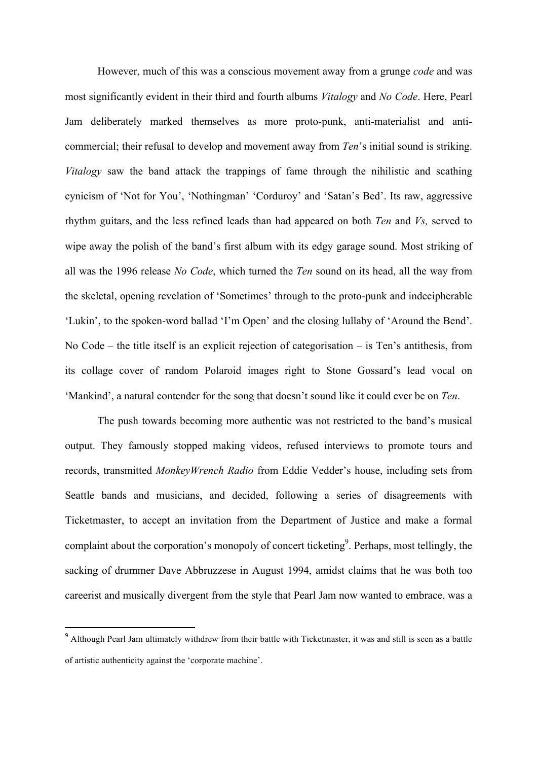However, much of this was a conscious movement away from a grunge *code* and was most significantly evident in their third and fourth albums *Vitalogy* and *No Code*. Here, Pearl Jam deliberately marked themselves as more proto-punk, anti-materialist and anticommercial; their refusal to develop and movement away from *Ten*'s initial sound is striking. *Vitalogy* saw the band attack the trappings of fame through the nihilistic and scathing cynicism of 'Not for You', 'Nothingman' 'Corduroy' and 'Satan's Bed'. Its raw, aggressive rhythm guitars, and the less refined leads than had appeared on both *Ten* and *Vs,* served to wipe away the polish of the band's first album with its edgy garage sound. Most striking of all was the 1996 release *No Code*, which turned the *Ten* sound on its head, all the way from the skeletal, opening revelation of 'Sometimes' through to the proto-punk and indecipherable 'Lukin', to the spoken-word ballad 'I'm Open' and the closing lullaby of 'Around the Bend'. No Code – the title itself is an explicit rejection of categorisation – is Ten's antithesis, from its collage cover of random Polaroid images right to Stone Gossard's lead vocal on 'Mankind', a natural contender for the song that doesn't sound like it could ever be on *Ten*.

The push towards becoming more authentic was not restricted to the band's musical output. They famously stopped making videos, refused interviews to promote tours and records, transmitted *MonkeyWrench Radio* from Eddie Vedder's house, including sets from Seattle bands and musicians, and decided, following a series of disagreements with Ticketmaster, to accept an invitation from the Department of Justice and make a formal complaint about the corporation's monopoly of concert ticketing<sup>9</sup>. Perhaps, most tellingly, the sacking of drummer Dave Abbruzzese in August 1994, amidst claims that he was both too careerist and musically divergent from the style that Pearl Jam now wanted to embrace, was a

 

<sup>&</sup>lt;sup>9</sup> Although Pearl Jam ultimately withdrew from their battle with Ticketmaster, it was and still is seen as a battle of artistic authenticity against the 'corporate machine'.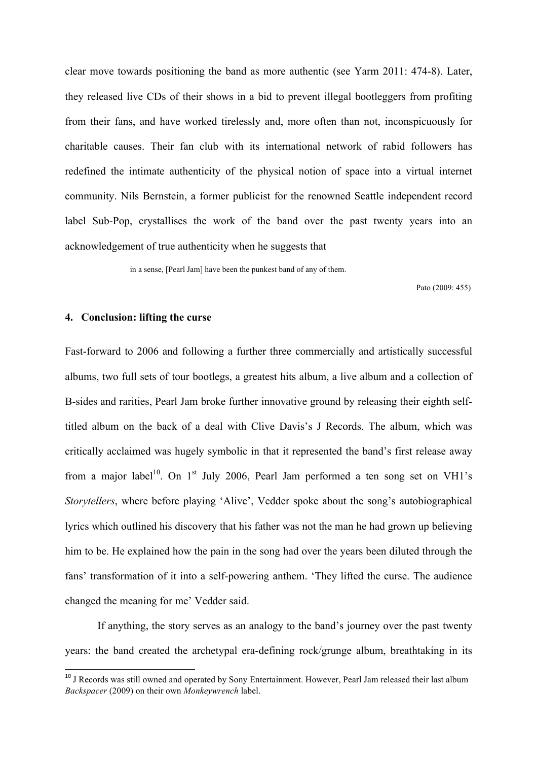clear move towards positioning the band as more authentic (see Yarm 2011: 474-8). Later, they released live CDs of their shows in a bid to prevent illegal bootleggers from profiting from their fans, and have worked tirelessly and, more often than not, inconspicuously for charitable causes. Their fan club with its international network of rabid followers has redefined the intimate authenticity of the physical notion of space into a virtual internet community. Nils Bernstein, a former publicist for the renowned Seattle independent record label Sub-Pop, crystallises the work of the band over the past twenty years into an acknowledgement of true authenticity when he suggests that

in a sense, [Pearl Jam] have been the punkest band of any of them.

Pato (2009: 455)

## **4. Conclusion: lifting the curse**

<u> 1989 - Jan Samuel Barbara, margaret e</u>

Fast-forward to 2006 and following a further three commercially and artistically successful albums, two full sets of tour bootlegs, a greatest hits album, a live album and a collection of B-sides and rarities, Pearl Jam broke further innovative ground by releasing their eighth selftitled album on the back of a deal with Clive Davis's J Records. The album, which was critically acclaimed was hugely symbolic in that it represented the band's first release away from a major label<sup>10</sup>. On 1<sup>st</sup> July 2006, Pearl Jam performed a ten song set on VH1's *Storytellers*, where before playing 'Alive', Vedder spoke about the song's autobiographical lyrics which outlined his discovery that his father was not the man he had grown up believing him to be. He explained how the pain in the song had over the years been diluted through the fans' transformation of it into a self-powering anthem. 'They lifted the curse. The audience changed the meaning for me' Vedder said.

If anything, the story serves as an analogy to the band's journey over the past twenty years: the band created the archetypal era-defining rock/grunge album, breathtaking in its

<sup>&</sup>lt;sup>10</sup> J Records was still owned and operated by Sony Entertainment. However, Pearl Jam released their last album *Backspacer* (2009) on their own *Monkeywrench* label.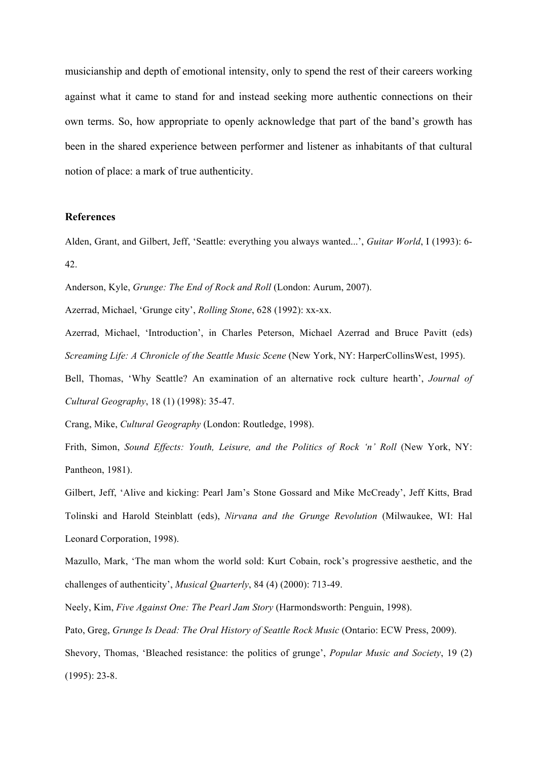musicianship and depth of emotional intensity, only to spend the rest of their careers working against what it came to stand for and instead seeking more authentic connections on their own terms. So, how appropriate to openly acknowledge that part of the band's growth has been in the shared experience between performer and listener as inhabitants of that cultural notion of place: a mark of true authenticity.

## **References**

Alden, Grant, and Gilbert, Jeff, 'Seattle: everything you always wanted...', *Guitar World*, I (1993): 6- 42.

Anderson, Kyle, *Grunge: The End of Rock and Roll* (London: Aurum, 2007).

Azerrad, Michael, 'Grunge city', *Rolling Stone*, 628 (1992): xx-xx.

Azerrad, Michael, 'Introduction', in Charles Peterson, Michael Azerrad and Bruce Pavitt (eds) *Screaming Life: A Chronicle of the Seattle Music Scene* (New York, NY: HarperCollinsWest, 1995).

Bell, Thomas, 'Why Seattle? An examination of an alternative rock culture hearth', *Journal of Cultural Geography*, 18 (1) (1998): 35-47.

Crang, Mike, *Cultural Geography* (London: Routledge, 1998).

Frith, Simon, *Sound Effects: Youth, Leisure, and the Politics of Rock 'n' Roll* (New York, NY: Pantheon, 1981).

Gilbert, Jeff, 'Alive and kicking: Pearl Jam's Stone Gossard and Mike McCready', Jeff Kitts, Brad Tolinski and Harold Steinblatt (eds), *Nirvana and the Grunge Revolution* (Milwaukee, WI: Hal Leonard Corporation, 1998).

Mazullo, Mark, 'The man whom the world sold: Kurt Cobain, rock's progressive aesthetic, and the challenges of authenticity', *Musical Quarterly*, 84 (4) (2000): 713-49.

Neely, Kim, *Five Against One: The Pearl Jam Story* (Harmondsworth: Penguin, 1998).

Pato, Greg, *Grunge Is Dead: The Oral History of Seattle Rock Music* (Ontario: ECW Press, 2009).

Shevory, Thomas, 'Bleached resistance: the politics of grunge', *Popular Music and Society*, 19 (2) (1995): 23-8.